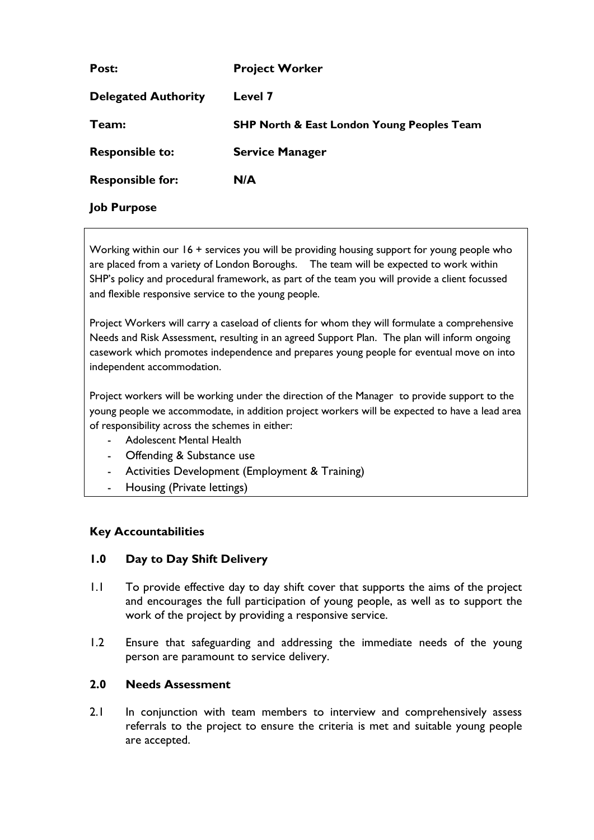| Post:                      | <b>Project Worker</b>                                 |
|----------------------------|-------------------------------------------------------|
| <b>Delegated Authority</b> | Level 7                                               |
| Team:                      | <b>SHP North &amp; East London Young Peoples Team</b> |
| <b>Responsible to:</b>     | <b>Service Manager</b>                                |
| <b>Responsible for:</b>    | N/A                                                   |
| <b>Job Purpose</b>         |                                                       |

Working within our 16 + services you will be providing housing support for young people who are placed from a variety of London Boroughs. The team will be expected to work within SHP's policy and procedural framework, as part of the team you will provide a client focussed and flexible responsive service to the young people.

Project Workers will carry a caseload of clients for whom they will formulate a comprehensive Needs and Risk Assessment, resulting in an agreed Support Plan. The plan will inform ongoing casework which promotes independence and prepares young people for eventual move on into independent accommodation.

Project workers will be working under the direction of the Manager to provide support to the young people we accommodate, in addition project workers will be expected to have a lead area of responsibility across the schemes in either:

- Adolescent Mental Health
- Offending & Substance use
- Activities Development (Employment & Training)
- Housing (Private lettings)

## **Key Accountabilities**

# **1.0 Day to Day Shift Delivery**

- 1.1 To provide effective day to day shift cover that supports the aims of the project and encourages the full participation of young people, as well as to support the work of the project by providing a responsive service.
- 1.2 Ensure that safeguarding and addressing the immediate needs of the young person are paramount to service delivery.

## **2.0 Needs Assessment**

2.1 In conjunction with team members to interview and comprehensively assess referrals to the project to ensure the criteria is met and suitable young people are accepted.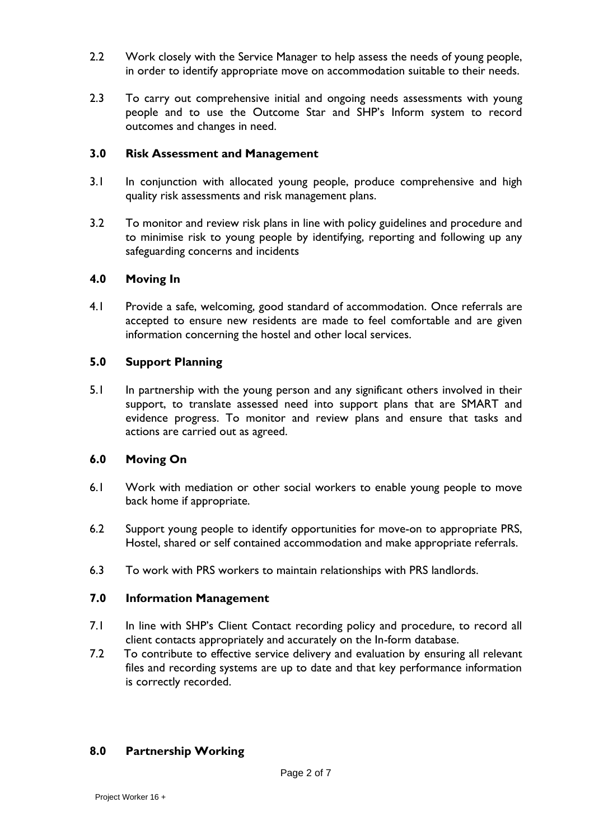- 2.2 Work closely with the Service Manager to help assess the needs of young people, in order to identify appropriate move on accommodation suitable to their needs.
- 2.3 To carry out comprehensive initial and ongoing needs assessments with young people and to use the Outcome Star and SHP's Inform system to record outcomes and changes in need.

## **3.0 Risk Assessment and Management**

- 3.1 In conjunction with allocated young people, produce comprehensive and high quality risk assessments and risk management plans.
- 3.2 To monitor and review risk plans in line with policy guidelines and procedure and to minimise risk to young people by identifying, reporting and following up any safeguarding concerns and incidents

# **4.0 Moving In**

4.1 Provide a safe, welcoming, good standard of accommodation. Once referrals are accepted to ensure new residents are made to feel comfortable and are given information concerning the hostel and other local services.

# **5.0 Support Planning**

5.1 In partnership with the young person and any significant others involved in their support, to translate assessed need into support plans that are SMART and evidence progress. To monitor and review plans and ensure that tasks and actions are carried out as agreed.

# **6.0 Moving On**

- 6.1 Work with mediation or other social workers to enable young people to move back home if appropriate.
- 6.2 Support young people to identify opportunities for move-on to appropriate PRS, Hostel, shared or self contained accommodation and make appropriate referrals.
- 6.3 To work with PRS workers to maintain relationships with PRS landlords.

## **7.0 Information Management**

- 7.1 In line with SHP's Client Contact recording policy and procedure, to record all client contacts appropriately and accurately on the In-form database.
- 7.2 To contribute to effective service delivery and evaluation by ensuring all relevant files and recording systems are up to date and that key performance information is correctly recorded.

# **8.0 Partnership Working**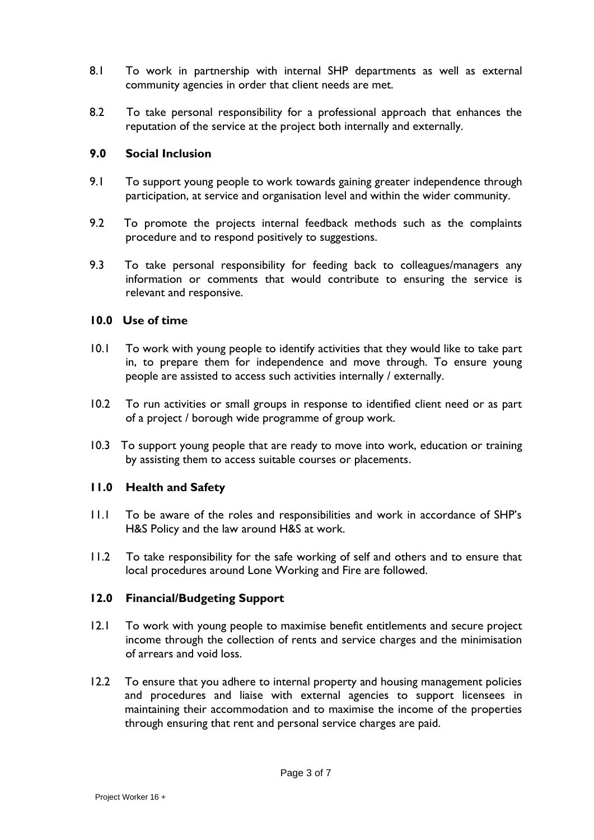- 8.1 To work in partnership with internal SHP departments as well as external community agencies in order that client needs are met.
- 8.2 To take personal responsibility for a professional approach that enhances the reputation of the service at the project both internally and externally.

#### **9.0 Social Inclusion**

- 9.1 To support young people to work towards gaining greater independence through participation, at service and organisation level and within the wider community.
- 9.2 To promote the projects internal feedback methods such as the complaints procedure and to respond positively to suggestions.
- 9.3 To take personal responsibility for feeding back to colleagues/managers any information or comments that would contribute to ensuring the service is relevant and responsive.

#### **10.0 Use of time**

- 10.1 To work with young people to identify activities that they would like to take part in, to prepare them for independence and move through. To ensure young people are assisted to access such activities internally / externally.
- 10.2 To run activities or small groups in response to identified client need or as part of a project / borough wide programme of group work.
- 10.3 To support young people that are ready to move into work, education or training by assisting them to access suitable courses or placements.

#### **11.0 Health and Safety**

- 11.1 To be aware of the roles and responsibilities and work in accordance of SHP's H&S Policy and the law around H&S at work.
- 11.2 To take responsibility for the safe working of self and others and to ensure that local procedures around Lone Working and Fire are followed.

#### **12.0 Financial/Budgeting Support**

- 12.1 To work with young people to maximise benefit entitlements and secure project income through the collection of rents and service charges and the minimisation of arrears and void loss.
- 12.2 To ensure that you adhere to internal property and housing management policies and procedures and liaise with external agencies to support licensees in maintaining their accommodation and to maximise the income of the properties through ensuring that rent and personal service charges are paid.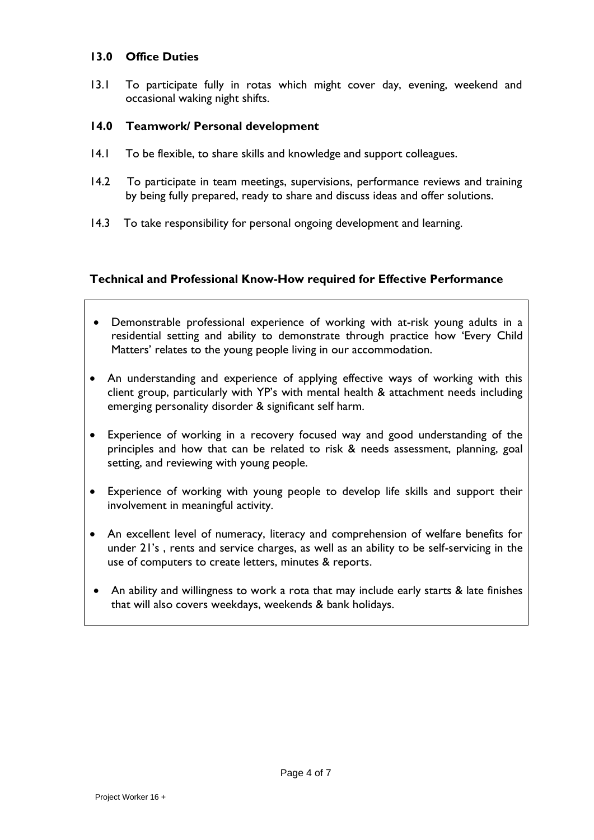#### **13.0 Office Duties**

13.1 To participate fully in rotas which might cover day, evening, weekend and occasional waking night shifts.

## **14.0 Teamwork/ Personal development**

- 14.1 To be flexible, to share skills and knowledge and support colleagues.
- 14.2 To participate in team meetings, supervisions, performance reviews and training by being fully prepared, ready to share and discuss ideas and offer solutions.
- 14.3 To take responsibility for personal ongoing development and learning.

## **Technical and Professional Know-How required for Effective Performance**

- Demonstrable professional experience of working with at-risk young adults in a residential setting and ability to demonstrate through practice how 'Every Child Matters' relates to the young people living in our accommodation.
- An understanding and experience of applying effective ways of working with this client group, particularly with YP's with mental health & attachment needs including emerging personality disorder & significant self harm.
- Experience of working in a recovery focused way and good understanding of the principles and how that can be related to risk & needs assessment, planning, goal setting, and reviewing with young people.
- Experience of working with young people to develop life skills and support their involvement in meaningful activity.
- An excellent level of numeracy, literacy and comprehension of welfare benefits for under 21's , rents and service charges, as well as an ability to be self-servicing in the use of computers to create letters, minutes & reports.
- An ability and willingness to work a rota that may include early starts & late finishes that will also covers weekdays, weekends & bank holidays.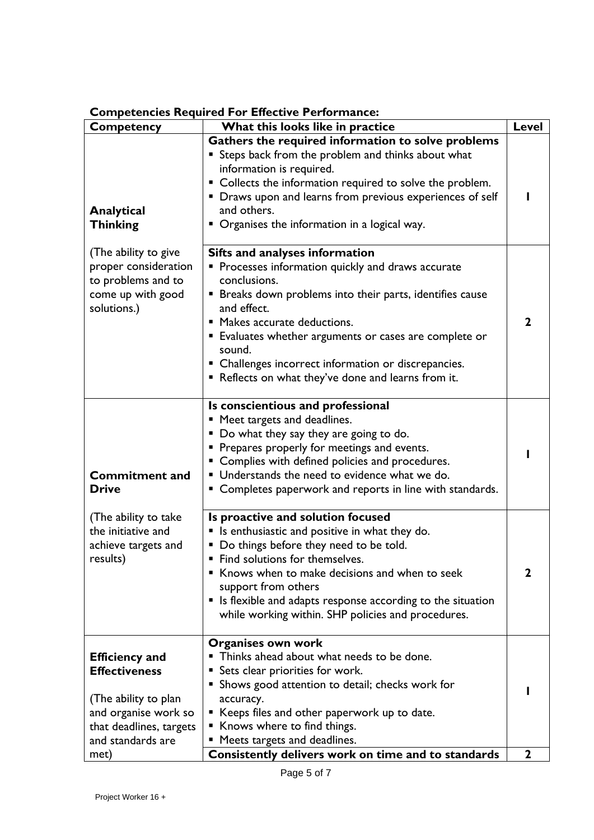| Competency                                                                                                                                    | What this looks like in practice                                                                                                                                                                                                                                                                                                                                                                          | <b>Level</b> |
|-----------------------------------------------------------------------------------------------------------------------------------------------|-----------------------------------------------------------------------------------------------------------------------------------------------------------------------------------------------------------------------------------------------------------------------------------------------------------------------------------------------------------------------------------------------------------|--------------|
| Analytical<br><b>Thinking</b>                                                                                                                 | Gathers the required information to solve problems<br>Steps back from the problem and thinks about what<br>information is required.<br>• Collects the information required to solve the problem.<br>• Draws upon and learns from previous experiences of self<br>and others.<br>• Organises the information in a logical way.                                                                             |              |
| (The ability to give<br>proper consideration<br>to problems and to<br>come up with good<br>solutions.)                                        | <b>Sifts and analyses information</b><br>Processes information quickly and draws accurate<br>conclusions.<br>Breaks down problems into their parts, identifies cause<br>and effect.<br>" Makes accurate deductions.<br><b>Evaluates whether arguments or cases are complete or</b><br>sound.<br>• Challenges incorrect information or discrepancies.<br>Reflects on what they've done and learns from it. | 2            |
| <b>Commitment and</b><br><b>Drive</b>                                                                                                         | Is conscientious and professional<br>" Meet targets and deadlines.<br>" Do what they say they are going to do.<br>• Prepares properly for meetings and events.<br>Complies with defined policies and procedures.<br>" Understands the need to evidence what we do.<br>Completes paperwork and reports in line with standards.                                                                             |              |
| (The ability to take<br>the initiative and<br>achieve targets and<br>results)                                                                 | Is proactive and solution focused<br>Is enthusiastic and positive in what they do.<br>Do things before they need to be told.<br>ш<br>" Find solutions for themselves.<br>Knows when to make decisions and when to seek<br>support from others<br>• Is flexible and adapts response according to the situation<br>while working within. SHP policies and procedures.                                       | 2            |
| <b>Efficiency and</b><br><b>Effectiveness</b><br>(The ability to plan<br>and organise work so<br>that deadlines, targets<br>and standards are | Organises own work<br>Thinks ahead about what needs to be done.<br>Sets clear priorities for work.<br>Shows good attention to detail; checks work for<br>accuracy.<br>Keeps files and other paperwork up to date.<br>■ Knows where to find things.<br>Meets targets and deadlines.                                                                                                                        | $\mathbf{2}$ |
| met)                                                                                                                                          | Consistently delivers work on time and to standards                                                                                                                                                                                                                                                                                                                                                       |              |

# **Competencies Required For Effective Performance:**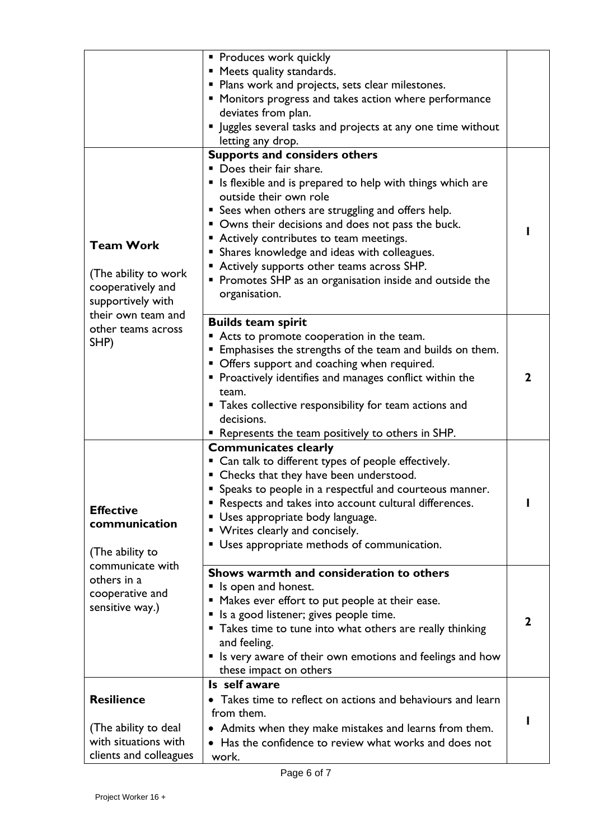|                                                                                                                                                                                   | Produces work quickly<br>" Meets quality standards.<br>• Plans work and projects, sets clear milestones.<br>• Monitors progress and takes action where performance<br>deviates from plan.<br>" Juggles several tasks and projects at any one time without<br>letting any drop.                                                                                                                                                                                                                     |             |
|-----------------------------------------------------------------------------------------------------------------------------------------------------------------------------------|----------------------------------------------------------------------------------------------------------------------------------------------------------------------------------------------------------------------------------------------------------------------------------------------------------------------------------------------------------------------------------------------------------------------------------------------------------------------------------------------------|-------------|
| <b>Team Work</b><br>(The ability to work<br>cooperatively and<br>supportively with                                                                                                | <b>Supports and considers others</b><br>• Does their fair share.<br>• Is flexible and is prepared to help with things which are<br>outside their own role<br><b>Sees when others are struggling and offers help.</b><br>• Owns their decisions and does not pass the buck.<br>• Actively contributes to team meetings.<br>Shares knowledge and ideas with colleagues.<br>Actively supports other teams across SHP.<br>Promotes SHP as an organisation inside and outside the<br>п<br>organisation. |             |
| their own team and<br>other teams across<br>SHP)<br><b>Effective</b><br>communication<br>(The ability to<br>communicate with<br>others in a<br>cooperative and<br>sensitive way.) | <b>Builds team spirit</b><br>Acts to promote cooperation in the team.<br>Emphasises the strengths of the team and builds on them.<br>• Offers support and coaching when required.<br>• Proactively identifies and manages conflict within the<br>team.<br>• Takes collective responsibility for team actions and<br>decisions.<br>• Represents the team positively to others in SHP.                                                                                                               | $\mathbf 2$ |
|                                                                                                                                                                                   | <b>Communicates clearly</b><br>• Can talk to different types of people effectively.<br>• Checks that they have been understood.<br>• Speaks to people in a respectful and courteous manner.<br>• Respects and takes into account cultural differences.<br>Uses appropriate body language.<br>• Writes clearly and concisely.<br>Uses appropriate methods of communication.<br>п                                                                                                                    |             |
|                                                                                                                                                                                   | Shows warmth and consideration to others<br>If Is open and honest.<br>Makes ever effort to put people at their ease.<br>Is a good listener; gives people time.<br>" Takes time to tune into what others are really thinking<br>and feeling.<br>• Is very aware of their own emotions and feelings and how<br>these impact on others                                                                                                                                                                | $\mathbf 2$ |
| <b>Resilience</b><br>(The ability to deal<br>with situations with<br>clients and colleagues                                                                                       | Is self aware<br>• Takes time to reflect on actions and behaviours and learn<br>from them.<br>Admits when they make mistakes and learns from them.<br>• Has the confidence to review what works and does not<br>work.                                                                                                                                                                                                                                                                              |             |